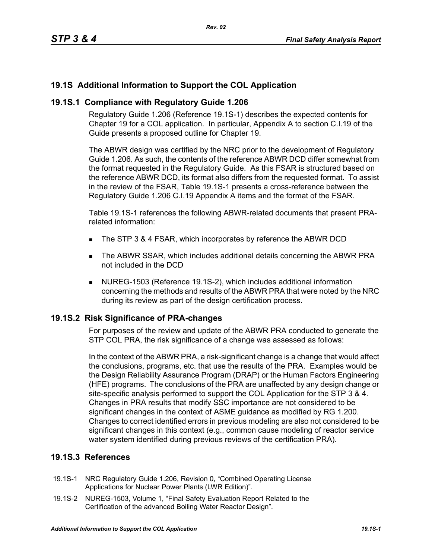# **19.1S Additional Information to Support the COL Application**

## **19.1S.1 Compliance with Regulatory Guide 1.206**

Regulatory Guide 1.206 (Reference 19.1S-1) describes the expected contents for Chapter 19 for a COL application. In particular, Appendix A to section C.I.19 of the Guide presents a proposed outline for Chapter 19.

The ABWR design was certified by the NRC prior to the development of Regulatory Guide 1.206. As such, the contents of the reference ABWR DCD differ somewhat from the format requested in the Regulatory Guide. As this FSAR is structured based on the reference ABWR DCD, its format also differs from the requested format. To assist in the review of the FSAR, Table 19.1S-1 presents a cross-reference between the Regulatory Guide 1.206 C.I.19 Appendix A items and the format of the FSAR.

Table 19.1S-1 references the following ABWR-related documents that present PRArelated information:

- The STP 3 & 4 FSAR, which incorporates by reference the ABWR DCD
- The ABWR SSAR, which includes additional details concerning the ABWR PRA not included in the DCD
- NUREG-1503 (Reference 19.1S-2), which includes additional information concerning the methods and results of the ABWR PRA that were noted by the NRC during its review as part of the design certification process.

### **19.1S.2 Risk Significance of PRA-changes**

For purposes of the review and update of the ABWR PRA conducted to generate the STP COL PRA, the risk significance of a change was assessed as follows:

In the context of the ABWR PRA, a risk-significant change is a change that would affect the conclusions, programs, etc. that use the results of the PRA. Examples would be the Design Reliability Assurance Program (DRAP) or the Human Factors Engineering (HFE) programs. The conclusions of the PRA are unaffected by any design change or site-specific analysis performed to support the COL Application for the STP 3 & 4. Changes in PRA results that modify SSC importance are not considered to be significant changes in the context of ASME guidance as modified by RG 1.200. Changes to correct identified errors in previous modeling are also not considered to be significant changes in this context (e.g., common cause modeling of reactor service water system identified during previous reviews of the certification PRA).

# **19.1S.3 References**

- 19.1S-1 NRC Regulatory Guide 1.206, Revision 0, "Combined Operating License Applications for Nuclear Power Plants (LWR Edition)".
- 19.1S-2 NUREG-1503, Volume 1, "Final Safety Evaluation Report Related to the Certification of the advanced Boiling Water Reactor Design".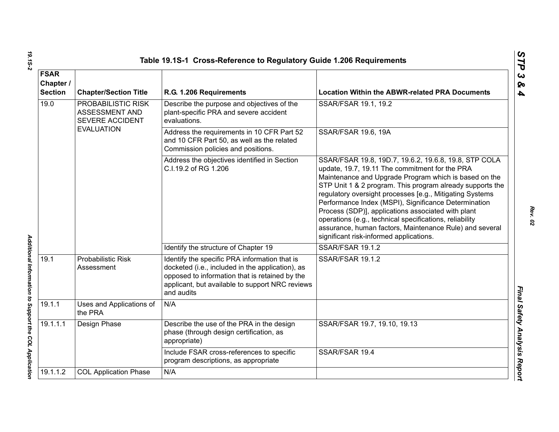|                                            |                                                                                                                                                                 | Table 19.1S-1 Cross-Reference to Regulatory Guide 1.206 Requirements                                                                                                                                                 |                                                                                                                                                                                                                                                                                                                                                                                                                                                                                                                                                                          |
|--------------------------------------------|-----------------------------------------------------------------------------------------------------------------------------------------------------------------|----------------------------------------------------------------------------------------------------------------------------------------------------------------------------------------------------------------------|--------------------------------------------------------------------------------------------------------------------------------------------------------------------------------------------------------------------------------------------------------------------------------------------------------------------------------------------------------------------------------------------------------------------------------------------------------------------------------------------------------------------------------------------------------------------------|
| <b>FSAR</b><br>Chapter /<br><b>Section</b> | <b>Chapter/Section Title</b>                                                                                                                                    | R.G. 1.206 Requirements                                                                                                                                                                                              | <b>Location Within the ABWR-related PRA Documents</b>                                                                                                                                                                                                                                                                                                                                                                                                                                                                                                                    |
| 19.0                                       | PROBABILISTIC RISK<br>Describe the purpose and objectives of the<br>plant-specific PRA and severe accident<br>ASSESSMENT AND<br>SEVERE ACCIDENT<br>evaluations. |                                                                                                                                                                                                                      | SSAR/FSAR 19.1, 19.2                                                                                                                                                                                                                                                                                                                                                                                                                                                                                                                                                     |
|                                            | <b>EVALUATION</b>                                                                                                                                               | Address the requirements in 10 CFR Part 52<br>and 10 CFR Part 50, as well as the related<br>Commission policies and positions.                                                                                       | <b>SSAR/FSAR 19.6, 19A</b>                                                                                                                                                                                                                                                                                                                                                                                                                                                                                                                                               |
|                                            |                                                                                                                                                                 | Address the objectives identified in Section<br>C.I.19.2 of RG 1.206                                                                                                                                                 | SSAR/FSAR 19.8, 19D.7, 19.6.2, 19.6.8, 19.8, STP COLA<br>update, 19.7, 19.11 The commitment for the PRA<br>Maintenance and Upgrade Program which is based on the<br>STP Unit 1 & 2 program. This program already supports the<br>regulatory oversight processes [e.g., Mitigating Systems<br>Performance Index (MSPI), Significance Determination<br>Process (SDP)], applications associated with plant<br>operations (e.g., technical specifications, reliability<br>assurance, human factors, Maintenance Rule) and several<br>significant risk-informed applications. |
|                                            |                                                                                                                                                                 | Identify the structure of Chapter 19                                                                                                                                                                                 | SSAR/FSAR 19.1.2                                                                                                                                                                                                                                                                                                                                                                                                                                                                                                                                                         |
| 19.1                                       | <b>Probabilistic Risk</b><br>Assessment                                                                                                                         | Identify the specific PRA information that is<br>docketed (i.e., included in the application), as<br>opposed to information that is retained by the<br>applicant, but available to support NRC reviews<br>and audits | SSAR/FSAR 19.1.2                                                                                                                                                                                                                                                                                                                                                                                                                                                                                                                                                         |
| 19.1.1                                     | Uses and Applications of<br>the PRA                                                                                                                             | N/A                                                                                                                                                                                                                  |                                                                                                                                                                                                                                                                                                                                                                                                                                                                                                                                                                          |
| 19.1.1.1                                   | Design Phase                                                                                                                                                    | Describe the use of the PRA in the design<br>phase (through design certification, as<br>appropriate)                                                                                                                 | SSAR/FSAR 19.7, 19.10, 19.13                                                                                                                                                                                                                                                                                                                                                                                                                                                                                                                                             |
|                                            |                                                                                                                                                                 | Include FSAR cross-references to specific<br>program descriptions, as appropriate                                                                                                                                    | SSAR/FSAR 19.4                                                                                                                                                                                                                                                                                                                                                                                                                                                                                                                                                           |
| 19.1.1.2                                   | <b>COL Application Phase</b>                                                                                                                                    | N/A                                                                                                                                                                                                                  |                                                                                                                                                                                                                                                                                                                                                                                                                                                                                                                                                                          |
|                                            |                                                                                                                                                                 |                                                                                                                                                                                                                      |                                                                                                                                                                                                                                                                                                                                                                                                                                                                                                                                                                          |

*Rev. 02*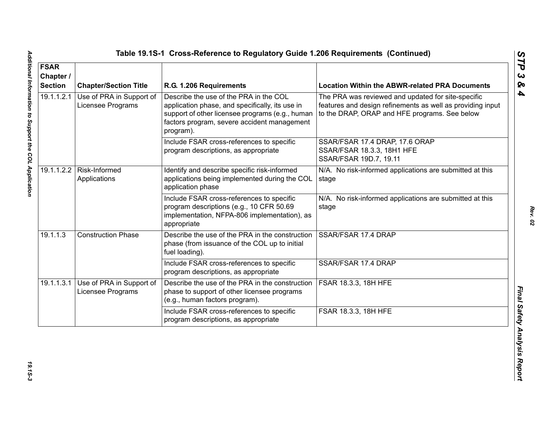| <b>FSAR</b><br>Chapter /<br><b>Section</b> | <b>Chapter/Section Title</b>                                                                                                                                              | R.G. 1.206 Requirements                                                                                                                                                                                  | <b>Location Within the ABWR-related PRA Documents</b>                                                                                                             |
|--------------------------------------------|---------------------------------------------------------------------------------------------------------------------------------------------------------------------------|----------------------------------------------------------------------------------------------------------------------------------------------------------------------------------------------------------|-------------------------------------------------------------------------------------------------------------------------------------------------------------------|
| 19.1.1.2.1                                 | Use of PRA in Support of<br>Licensee Programs                                                                                                                             | Describe the use of the PRA in the COL<br>application phase, and specifically, its use in<br>support of other licensee programs (e.g., human<br>factors program, severe accident management<br>program). | The PRA was reviewed and updated for site-specific<br>features and design refinements as well as providing input<br>to the DRAP, ORAP and HFE programs. See below |
|                                            |                                                                                                                                                                           | Include FSAR cross-references to specific<br>program descriptions, as appropriate                                                                                                                        | SSAR/FSAR 17.4 DRAP, 17.6 ORAP<br>SSAR/FSAR 18.3.3, 18H1 HFE<br>SSAR/FSAR 19D.7, 19.11                                                                            |
|                                            | Identify and describe specific risk-informed<br>19.1.1.2.2   Risk-Informed<br>applications being implemented during the COL<br>Applications<br>stage<br>application phase |                                                                                                                                                                                                          | N/A. No risk-informed applications are submitted at this                                                                                                          |
|                                            |                                                                                                                                                                           | Include FSAR cross-references to specific<br>program descriptions (e.g., 10 CFR 50.69<br>implementation, NFPA-806 implementation), as<br>appropriate                                                     | N/A. No risk-informed applications are submitted at this<br>stage                                                                                                 |
| 19.1.1.3                                   | <b>Construction Phase</b>                                                                                                                                                 | Describe the use of the PRA in the construction<br>phase (from issuance of the COL up to initial<br>fuel loading).                                                                                       | SSAR/FSAR 17.4 DRAP                                                                                                                                               |
|                                            |                                                                                                                                                                           | Include FSAR cross-references to specific<br>program descriptions, as appropriate                                                                                                                        | SSAR/FSAR 17.4 DRAP                                                                                                                                               |
| 19.1.1.3.1                                 | Use of PRA in Support of<br>Licensee Programs                                                                                                                             | Describe the use of the PRA in the construction<br>phase to support of other licensee programs<br>(e.g., human factors program).                                                                         | <b>FSAR 18.3.3, 18H HFE</b>                                                                                                                                       |
|                                            |                                                                                                                                                                           | Include FSAR cross-references to specific<br>program descriptions, as appropriate                                                                                                                        | FSAR 18.3.3, 18H HFE                                                                                                                                              |

*Rev. 02*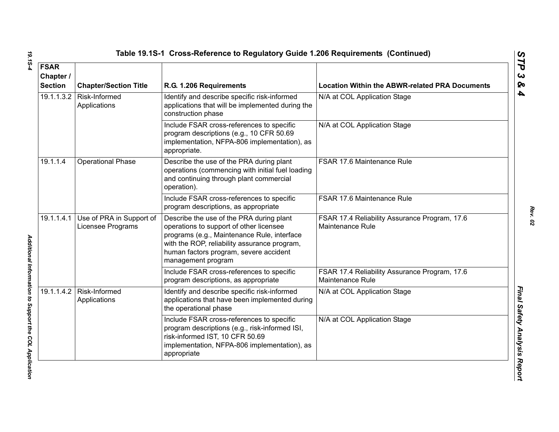| <b>FSAR</b><br>Chapter /<br><b>Section</b> | <b>Chapter/Section Title</b>                  | R.G. 1.206 Requirements                                                                                                                                                                                                                            | <b>Location Within the ABWR-related PRA Documents</b>             |
|--------------------------------------------|-----------------------------------------------|----------------------------------------------------------------------------------------------------------------------------------------------------------------------------------------------------------------------------------------------------|-------------------------------------------------------------------|
| 19.1.1.3.2                                 | Risk-Informed<br>Applications                 | Identify and describe specific risk-informed<br>applications that will be implemented during the<br>construction phase                                                                                                                             | N/A at COL Application Stage                                      |
|                                            |                                               | Include FSAR cross-references to specific<br>program descriptions (e.g., 10 CFR 50.69<br>implementation, NFPA-806 implementation), as<br>appropriate.                                                                                              | N/A at COL Application Stage                                      |
| 19.1.1.4                                   | <b>Operational Phase</b>                      | Describe the use of the PRA during plant<br>operations (commencing with initial fuel loading<br>and continuing through plant commercial<br>operation).                                                                                             | FSAR 17.6 Maintenance Rule                                        |
|                                            |                                               | Include FSAR cross-references to specific<br>program descriptions, as appropriate                                                                                                                                                                  | FSAR 17.6 Maintenance Rule                                        |
| 19.1.1.4.1                                 | Use of PRA in Support of<br>Licensee Programs | Describe the use of the PRA during plant<br>operations to support of other licensee<br>programs (e.g., Maintenance Rule, interface<br>with the ROP, reliability assurance program,<br>human factors program, severe accident<br>management program | FSAR 17.4 Reliability Assurance Program, 17.6<br>Maintenance Rule |
|                                            |                                               | Include FSAR cross-references to specific<br>program descriptions, as appropriate                                                                                                                                                                  | FSAR 17.4 Reliability Assurance Program, 17.6<br>Maintenance Rule |
| 19.1.1.4.2                                 | Risk-Informed<br>Applications                 | Identify and describe specific risk-informed<br>applications that have been implemented during<br>the operational phase                                                                                                                            | N/A at COL Application Stage                                      |
|                                            |                                               | Include FSAR cross-references to specific<br>program descriptions (e.g., risk-informed ISI,<br>risk-informed IST, 10 CFR 50.69<br>implementation, NFPA-806 implementation), as<br>appropriate                                                      | N/A at COL Application Stage                                      |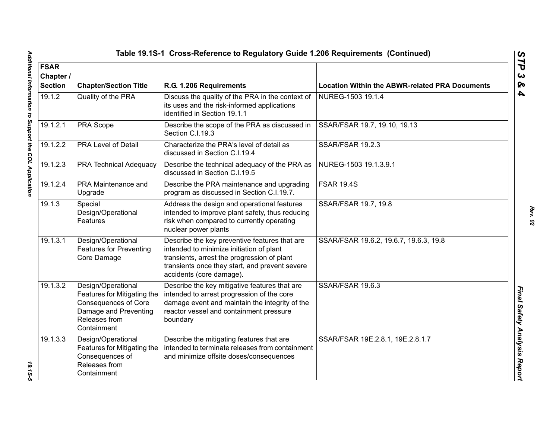| Table 19.1S-1 Cross-Reference to Regulatory Guide 1.206 Requirements (Continued) |                                                                                                                                           |                                                                                                                                                                                                                        |                                                       |  |
|----------------------------------------------------------------------------------|-------------------------------------------------------------------------------------------------------------------------------------------|------------------------------------------------------------------------------------------------------------------------------------------------------------------------------------------------------------------------|-------------------------------------------------------|--|
| <b>FSAR</b><br>Chapter /<br><b>Section</b>                                       | <b>Chapter/Section Title</b>                                                                                                              | R.G. 1.206 Requirements                                                                                                                                                                                                | <b>Location Within the ABWR-related PRA Documents</b> |  |
| 19.1.2                                                                           | Quality of the PRA                                                                                                                        | Discuss the quality of the PRA in the context of<br>NUREG-1503 19.1.4<br>its uses and the risk-informed applications<br>identified in Section 19.1.1                                                                   |                                                       |  |
| 19.1.2.1                                                                         | PRA Scope                                                                                                                                 | Describe the scope of the PRA as discussed in<br>Section C.I.19.3                                                                                                                                                      | SSAR/FSAR 19.7, 19.10, 19.13                          |  |
| 19.1.2.2                                                                         | <b>PRA Level of Detail</b>                                                                                                                | Characterize the PRA's level of detail as<br>discussed in Section C.I.19.4                                                                                                                                             | <b>SSAR/FSAR 19.2.3</b>                               |  |
| 19.1.2.3                                                                         | <b>PRA Technical Adequacy</b>                                                                                                             | Describe the technical adequacy of the PRA as<br>discussed in Section C.I.19.5                                                                                                                                         | NUREG-1503 19.1.3.9.1                                 |  |
| 19.1.2.4                                                                         | PRA Maintenance and<br>Upgrade                                                                                                            | Describe the PRA maintenance and upgrading<br>program as discussed in Section C.I.19.7.                                                                                                                                | <b>FSAR 19.4S</b>                                     |  |
| 19.1.3                                                                           | Special<br>Design/Operational<br>Features                                                                                                 | Address the design and operational features<br>intended to improve plant safety, thus reducing<br>risk when compared to currently operating<br>nuclear power plants                                                    | SSAR/FSAR 19.7, 19.8                                  |  |
| 19.1.3.1                                                                         | Design/Operational<br><b>Features for Preventing</b><br>Core Damage                                                                       | Describe the key preventive features that are<br>intended to minimize initiation of plant<br>transients, arrest the progression of plant<br>transients once they start, and prevent severe<br>accidents (core damage). | SSAR/FSAR 19.6.2, 19.6.7, 19.6.3, 19.8                |  |
| 19.1.3.2                                                                         | Design/Operational<br>Features for Mitigating the<br><b>Consequences of Core</b><br>Damage and Preventing<br>Releases from<br>Containment | Describe the key mitigative features that are<br>intended to arrest progression of the core<br>damage event and maintain the integrity of the<br>reactor vessel and containment pressure<br>boundary                   | SSAR/FSAR 19.6.3                                      |  |
| 19.1.3.3                                                                         | Design/Operational<br>Features for Mitigating the<br>Consequences of<br>Releases from<br>Containment                                      | Describe the mitigating features that are<br>intended to terminate releases from containment<br>and minimize offsite doses/consequences                                                                                | SSAR/FSAR 19E.2.8.1, 19E.2.8.1.7                      |  |

*STP 3 & 4*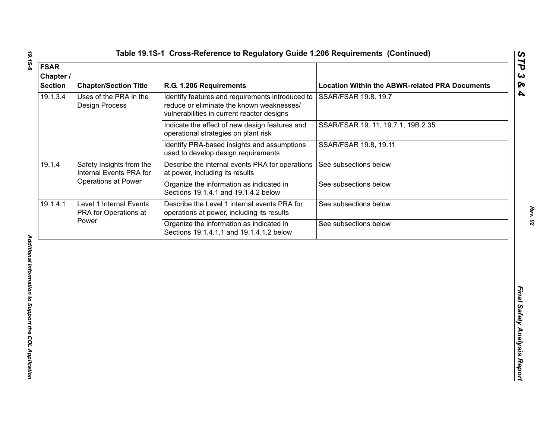| <b>FSAR</b><br>Chapter /<br><b>Section</b> | <b>Chapter/Section Title</b>                        | R.G. 1.206 Requirements                                                                                                                     | <b>Location Within the ABWR-related PRA Documents</b> |
|--------------------------------------------|-----------------------------------------------------|---------------------------------------------------------------------------------------------------------------------------------------------|-------------------------------------------------------|
| 19.1.3.4                                   | Uses of the PRA in the<br><b>Design Process</b>     | Identify features and requirements introduced to<br>reduce or eliminate the known weaknesses/<br>vulnerabilities in current reactor designs | SSAR/FSAR 19.8. 19.7                                  |
|                                            |                                                     | Indicate the effect of new design features and<br>operational strategies on plant risk                                                      | SSAR/FSAR 19. 11, 19.7.1, 19B.2.35                    |
|                                            |                                                     | Identify PRA-based insights and assumptions<br>used to develop design requirements                                                          | SSAR/FSAR 19.8, 19.11                                 |
| 19.1.4                                     | Safety Insights from the<br>Internal Events PRA for | Describe the internal events PRA for operations<br>at power, including its results                                                          | See subsections below                                 |
|                                            | Operations at Power                                 | Organize the information as indicated in<br>Sections 19.1.4.1 and 19.1.4.2 below                                                            | See subsections below                                 |
| 19.1.4.1                                   | Level 1 Internal Events<br>PRA for Operations at    | Describe the Level 1 internal events PRA for<br>operations at power, including its results                                                  | See subsections below                                 |
|                                            | Power                                               | Organize the information as indicated in<br>Sections 19.1.4.1.1 and 19.1.4.1.2 below                                                        | See subsections below                                 |
|                                            |                                                     |                                                                                                                                             |                                                       |
|                                            |                                                     |                                                                                                                                             |                                                       |

19.15-6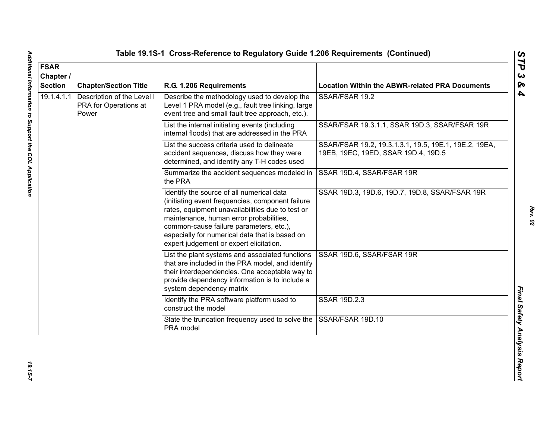| <b>FSAR</b><br>Chapter /<br><b>Section</b> | <b>Chapter/Section Title</b>                                 | R.G. 1.206 Requirements                                                                                                                                                                                                                                                                                                              | <b>Location Within the ABWR-related PRA Documents</b>                                        |
|--------------------------------------------|--------------------------------------------------------------|--------------------------------------------------------------------------------------------------------------------------------------------------------------------------------------------------------------------------------------------------------------------------------------------------------------------------------------|----------------------------------------------------------------------------------------------|
| 19.1.4.1.1                                 | Description of the Level I<br>PRA for Operations at<br>Power | Describe the methodology used to develop the<br>Level 1 PRA model (e.g., fault tree linking, large<br>event tree and small fault tree approach, etc.).                                                                                                                                                                               | SSAR/FSAR 19.2                                                                               |
|                                            |                                                              | List the internal initiating events (including<br>internal floods) that are addressed in the PRA                                                                                                                                                                                                                                     | SSAR/FSAR 19.3.1.1, SSAR 19D.3, SSAR/FSAR 19R                                                |
|                                            |                                                              | List the success criteria used to delineate<br>accident sequences, discuss how they were<br>determined, and identify any T-H codes used                                                                                                                                                                                              | SSAR/FSAR 19.2, 19.3.1.3.1, 19.5, 19E.1, 19E.2, 19EA,<br>19EB, 19EC, 19ED, SSAR 19D.4, 19D.5 |
|                                            |                                                              | Summarize the accident sequences modeled in<br>the PRA                                                                                                                                                                                                                                                                               | SSAR 19D.4, SSAR/FSAR 19R                                                                    |
|                                            |                                                              | Identify the source of all numerical data<br>(initiating event frequencies, component failure<br>rates, equipment unavailabilities due to test or<br>maintenance, human error probabilities,<br>common-cause failure parameters, etc.),<br>especially for numerical data that is based on<br>expert judgement or expert elicitation. | SSAR 19D.3, 19D.6, 19D.7, 19D.8, SSAR/FSAR 19R                                               |
|                                            |                                                              | List the plant systems and associated functions<br>that are included in the PRA model, and identify<br>their interdependencies. One acceptable way to<br>provide dependency information is to include a<br>system dependency matrix                                                                                                  | SSAR 19D.6, SSAR/FSAR 19R                                                                    |
|                                            |                                                              | Identify the PRA software platform used to<br>construct the model                                                                                                                                                                                                                                                                    | SSAR 19D.2.3                                                                                 |
|                                            |                                                              | State the truncation frequency used to solve the<br>PRA model                                                                                                                                                                                                                                                                        | SSAR/FSAR 19D.10                                                                             |

*Rev. 02*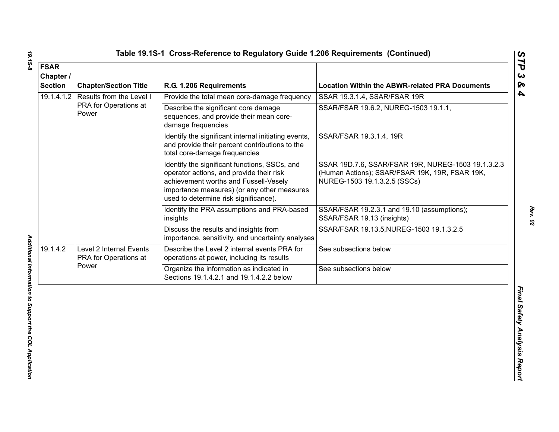| <b>FSAR</b><br>Chapter /<br><b>Section</b> | <b>Chapter/Section Title</b>                               | R.G. 1.206 Requirements                                                                                                                                                                                                    | <b>Location Within the ABWR-related PRA Documents</b>                                                                                |
|--------------------------------------------|------------------------------------------------------------|----------------------------------------------------------------------------------------------------------------------------------------------------------------------------------------------------------------------------|--------------------------------------------------------------------------------------------------------------------------------------|
| 19.1.4.1.2                                 | Results from the Level I<br>PRA for Operations at<br>Power | Provide the total mean core-damage frequency                                                                                                                                                                               | SSAR 19.3.1.4, SSAR/FSAR 19R                                                                                                         |
|                                            |                                                            | Describe the significant core damage<br>sequences, and provide their mean core-<br>damage frequencies                                                                                                                      | SSAR/FSAR 19.6.2, NUREG-1503 19.1.1,                                                                                                 |
|                                            |                                                            | Identify the significant internal initiating events,<br>and provide their percent contributions to the<br>total core-damage frequencies                                                                                    | SSAR/FSAR 19.3.1.4, 19R                                                                                                              |
|                                            |                                                            | Identify the significant functions, SSCs, and<br>operator actions, and provide their risk<br>achievement worths and Fussell-Vesely<br>importance measures) (or any other measures<br>used to determine risk significance). | SSAR 19D.7.6, SSAR/FSAR 19R, NUREG-1503 19.1.3.2.3<br>(Human Actions); SSAR/FSAR 19K, 19R, FSAR 19K,<br>NUREG-1503 19.1.3.2.5 (SSCs) |
|                                            |                                                            | Identify the PRA assumptions and PRA-based<br>insights                                                                                                                                                                     | SSAR/FSAR 19.2.3.1 and 19.10 (assumptions);<br>SSAR/FSAR 19.13 (insights)                                                            |
|                                            |                                                            | Discuss the results and insights from<br>importance, sensitivity, and uncertainty analyses                                                                                                                                 | SSAR/FSAR 19.13.5, NUREG-1503 19.1.3.2.5                                                                                             |
| 19.1.4.2                                   | Level 2 Internal Events<br>PRA for Operations at<br>Power  | Describe the Level 2 internal events PRA for<br>operations at power, including its results                                                                                                                                 | See subsections below                                                                                                                |
|                                            |                                                            | Organize the information as indicated in<br>Sections 19.1.4.2.1 and 19.1.4.2.2 below                                                                                                                                       | See subsections below                                                                                                                |
|                                            |                                                            |                                                                                                                                                                                                                            |                                                                                                                                      |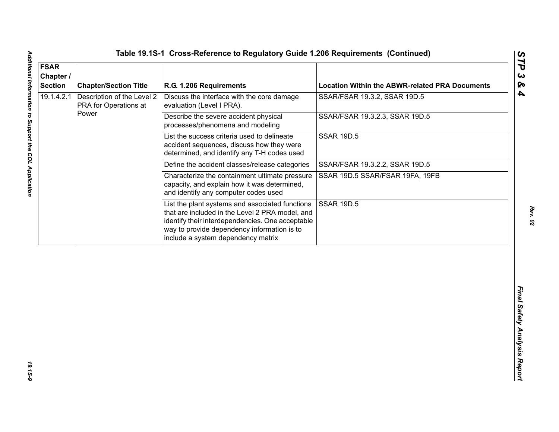| 19.1.4.2.1<br>Description of the Level 2<br>Discuss the interface with the core damage<br>PRA for Operations at<br>evaluation (Level I PRA).<br>Power<br>Describe the severe accident physical<br>processes/phenomena and modeling          | SSAR/FSAR 19.3.2, SSAR 19D.5<br>SSAR/FSAR 19.3.2.3, SSAR 19D.5 |
|---------------------------------------------------------------------------------------------------------------------------------------------------------------------------------------------------------------------------------------------|----------------------------------------------------------------|
|                                                                                                                                                                                                                                             |                                                                |
|                                                                                                                                                                                                                                             |                                                                |
| List the success criteria used to delineate<br>accident sequences, discuss how they were<br>determined, and identify any T-H codes used                                                                                                     | <b>SSAR 19D.5</b>                                              |
| Define the accident classes/release categories                                                                                                                                                                                              | SSAR/FSAR 19.3.2.2, SSAR 19D.5                                 |
| Characterize the containment ultimate pressure<br>capacity, and explain how it was determined,<br>and identify any computer codes used                                                                                                      | SSAR 19D.5 SSAR/FSAR 19FA, 19FB                                |
| List the plant systems and associated functions<br>that are included in the Level 2 PRA model, and<br>identify their interdependencies. One acceptable<br>way to provide dependency information is to<br>include a system dependency matrix | <b>SSAR 19D.5</b>                                              |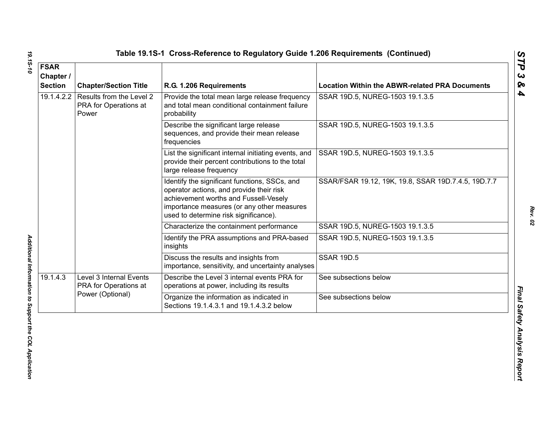| <b>FSAR</b><br>Chapter /<br><b>Section</b> | <b>Chapter/Section Title</b>                                         | R.G. 1.206 Requirements                                                                                                                                                                                                   | <b>Location Within the ABWR-related PRA Documents</b> |
|--------------------------------------------|----------------------------------------------------------------------|---------------------------------------------------------------------------------------------------------------------------------------------------------------------------------------------------------------------------|-------------------------------------------------------|
| 19.1.4.2.2                                 | Results from the Level 2<br>PRA for Operations at<br>Power           | Provide the total mean large release frequency<br>and total mean conditional containment failure<br>probability                                                                                                           | SSAR 19D.5, NUREG-1503 19.1.3.5                       |
|                                            |                                                                      | Describe the significant large release<br>sequences, and provide their mean release<br>frequencies                                                                                                                        | SSAR 19D.5, NUREG-1503 19.1.3.5                       |
|                                            |                                                                      | List the significant internal initiating events, and<br>provide their percent contributions to the total<br>large release frequency                                                                                       | SSAR 19D.5, NUREG-1503 19.1.3.5                       |
|                                            |                                                                      | Identify the significant functions, SSCs, and<br>operator actions, and provide their risk<br>achievement worths and Fussell-Vesely<br>importance measures (or any other measures<br>used to determine risk significance). | SSAR/FSAR 19.12, 19K, 19.8, SSAR 19D.7.4.5, 19D.7.7   |
|                                            |                                                                      | Characterize the containment performance                                                                                                                                                                                  | SSAR 19D.5, NUREG-1503 19.1.3.5                       |
|                                            |                                                                      | Identify the PRA assumptions and PRA-based<br>insights                                                                                                                                                                    | SSAR 19D.5, NUREG-1503 19.1.3.5                       |
|                                            |                                                                      | Discuss the results and insights from<br>importance, sensitivity, and uncertainty analyses                                                                                                                                | <b>SSAR 19D.5</b>                                     |
| 19.1.4.3                                   | Level 3 Internal Events<br>PRA for Operations at<br>Power (Optional) | Describe the Level 3 internal events PRA for<br>operations at power, including its results                                                                                                                                | See subsections below                                 |
|                                            |                                                                      | Organize the information as indicated in<br>Sections 19.1.4.3.1 and 19.1.4.3.2 below                                                                                                                                      | See subsections below                                 |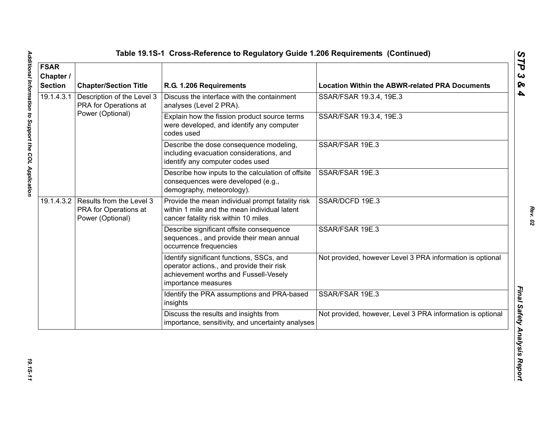| <b>FSAR</b><br>Chapter /<br><b>Section</b> | <b>Chapter/Section Title</b>                                                     | R.G. 1.206 Requirements                                                                                                                                | <b>Location Within the ABWR-related PRA Documents</b>      |
|--------------------------------------------|----------------------------------------------------------------------------------|--------------------------------------------------------------------------------------------------------------------------------------------------------|------------------------------------------------------------|
| 19.1.4.3.1                                 | Description of the Level 3<br>PRA for Operations at                              | Discuss the interface with the containment<br>analyses (Level 2 PRA).                                                                                  | SSAR/FSAR 19.3.4, 19E.3                                    |
|                                            | Power (Optional)                                                                 | Explain how the fission product source terms<br>were developed, and identify any computer<br>codes used                                                | SSAR/FSAR 19.3.4, 19E.3                                    |
|                                            |                                                                                  | Describe the dose consequence modeling,<br>including evacuation considerations, and<br>identify any computer codes used                                | SSAR/FSAR 19E.3                                            |
|                                            |                                                                                  | Describe how inputs to the calculation of offsite<br>consequences were developed (e.g.,<br>demography, meteorology).                                   | SSAR/FSAR 19E.3                                            |
|                                            | 19.1.4.3.2 Results from the Level 3<br>PRA for Operations at<br>Power (Optional) | Provide the mean individual prompt fatality risk<br>within 1 mile and the mean individual latent<br>cancer fatality risk within 10 miles               | SSAR/DCFD 19E.3                                            |
|                                            |                                                                                  | Describe significant offsite consequence<br>sequences., and provide their mean annual<br>occurrence frequencies                                        | SSAR/FSAR 19E.3                                            |
|                                            |                                                                                  | Identify significant functions, SSCs, and<br>operator actions., and provide their risk<br>achievement worths and Fussell-Vesely<br>importance measures | Not provided, however Level 3 PRA information is optional  |
|                                            |                                                                                  | Identify the PRA assumptions and PRA-based<br>insights                                                                                                 | SSAR/FSAR 19E.3                                            |
|                                            |                                                                                  | Discuss the results and insights from<br>importance, sensitivity, and uncertainty analyses                                                             | Not provided, however, Level 3 PRA information is optional |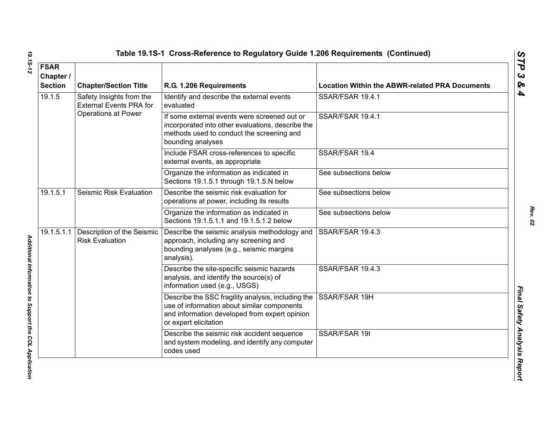|  | Table 19.1S-1  Cross-Reference to Regulatory Guide 1.206 Requirements  (Continueo |  |  |  |  |
|--|-----------------------------------------------------------------------------------|--|--|--|--|
|--|-----------------------------------------------------------------------------------|--|--|--|--|

| <b>FSAR</b>                 |                                                            |                                                                                                                                                                             |                                                       |
|-----------------------------|------------------------------------------------------------|-----------------------------------------------------------------------------------------------------------------------------------------------------------------------------|-------------------------------------------------------|
| Chapter /<br><b>Section</b> | <b>Chapter/Section Title</b>                               | R.G. 1.206 Requirements                                                                                                                                                     | <b>Location Within the ABWR-related PRA Documents</b> |
| 19.1.5                      | Safety Insights from the<br><b>External Events PRA for</b> | Identify and describe the external events<br>evaluated                                                                                                                      | SSAR/FSAR 19.4.1                                      |
|                             | <b>Operations at Power</b>                                 | If some external events were screened out or<br>incorporated into other evaluations, describe the<br>methods used to conduct the screening and<br>bounding analyses         | SSAR/FSAR 19.4.1                                      |
|                             |                                                            | Include FSAR cross-references to specific<br>external events, as appropriate                                                                                                | SSAR/FSAR 19.4                                        |
|                             |                                                            | Organize the information as indicated in<br>Sections 19.1.5.1 through 19.1.5.N below                                                                                        | See subsections below                                 |
| 19.1.5.1                    | Seismic Risk Evaluation                                    | Describe the seismic risk evaluation for<br>operations at power, including its results                                                                                      | See subsections below                                 |
|                             |                                                            | Organize the information as indicated in<br>Sections 19.1.5.1.1 and 19.1.5.1.2 below                                                                                        | See subsections below                                 |
| 19.1.5.1.1                  | Description of the Seismic<br><b>Risk Evaluation</b>       | Describe the seismic analysis methodology and<br>approach, including any screening and<br>bounding analyses (e.g., seismic margins<br>analysis).                            | SSAR/FSAR 19.4.3                                      |
|                             |                                                            | Describe the site-specific seismic hazards<br>analysis, and identify the source(s) of<br>information used (e.g., USGS)                                                      | SSAR/FSAR 19.4.3                                      |
|                             |                                                            | Describe the SSC fragility analysis, including the<br>use of information about similar components<br>and information developed from expert opinion<br>or expert elicitation | SSAR/FSAR 19H                                         |
|                             |                                                            | Describe the seismic risk accident sequence<br>and system modeling, and identify any computer<br>codes used                                                                 | SSAR/FSAR 19I                                         |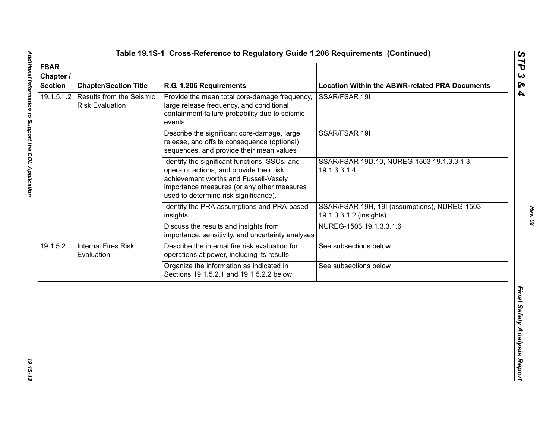| <b>FSAR</b><br>Chapter /<br><b>Section</b> | <b>Chapter/Section Title</b>                              | R.G. 1.206 Requirements                                                                                                                                                                                                   | <b>Location Within the ABWR-related PRA Documents</b>                   |
|--------------------------------------------|-----------------------------------------------------------|---------------------------------------------------------------------------------------------------------------------------------------------------------------------------------------------------------------------------|-------------------------------------------------------------------------|
| 19.1.5.1.2                                 | <b>Results from the Seismic</b><br><b>Risk Evaluation</b> | Provide the mean total core-damage frequency,<br>large release frequency, and conditional<br>containment failure probability due to seismic<br>events                                                                     | SSAR/FSAR 19I                                                           |
|                                            |                                                           | Describe the significant core-damage, large<br>release, and offsite consequence (optional)<br>sequences, and provide their mean values                                                                                    | SSAR/FSAR 19I                                                           |
|                                            |                                                           | Identify the significant functions, SSCs, and<br>operator actions, and provide their risk<br>achievement worths and Fussell-Vesely<br>importance measures (or any other measures<br>used to determine risk significance). | SSAR/FSAR 19D.10, NUREG-1503 19.1.3.3.1.3,<br>19.1.3.3.1.4,             |
|                                            |                                                           | Identify the PRA assumptions and PRA-based<br>insights                                                                                                                                                                    | SSAR/FSAR 19H, 19I (assumptions), NUREG-1503<br>19.1.3.3.1.2 (insights) |
|                                            |                                                           | Discuss the results and insights from<br>importance, sensitivity, and uncertainty analyses                                                                                                                                | NUREG-1503 19.1.3.3.1.6                                                 |
| 19.1.5.2                                   | <b>Internal Fires Risk</b><br>Evaluation                  | Describe the internal fire risk evaluation for<br>operations at power, including its results                                                                                                                              | See subsections below                                                   |
|                                            |                                                           | Organize the information as indicated in<br>Sections 19.1.5.2.1 and 19.1.5.2.2 below                                                                                                                                      | See subsections below                                                   |
|                                            |                                                           |                                                                                                                                                                                                                           |                                                                         |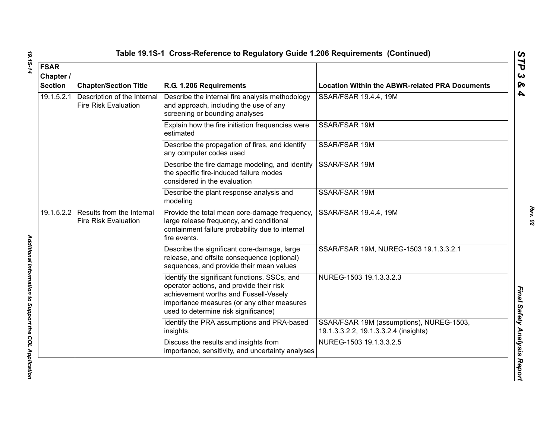| <b>FSAR</b><br>Chapter /<br><b>Section</b> | <b>Chapter/Section Title</b>                                        | R.G. 1.206 Requirements                                                                                                                                                                                                  | <b>Location Within the ABWR-related PRA Documents</b>                             |
|--------------------------------------------|---------------------------------------------------------------------|--------------------------------------------------------------------------------------------------------------------------------------------------------------------------------------------------------------------------|-----------------------------------------------------------------------------------|
| 19.1.5.2.1                                 | Description of the Internal<br><b>Fire Risk Evaluation</b>          | Describe the internal fire analysis methodology<br>and approach, including the use of any<br>screening or bounding analyses                                                                                              | SSAR/FSAR 19.4.4, 19M                                                             |
|                                            |                                                                     | Explain how the fire initiation frequencies were<br>estimated                                                                                                                                                            | SSAR/FSAR 19M                                                                     |
|                                            |                                                                     | Describe the propagation of fires, and identify<br>any computer codes used                                                                                                                                               | SSAR/FSAR 19M                                                                     |
|                                            |                                                                     | Describe the fire damage modeling, and identify<br>the specific fire-induced failure modes<br>considered in the evaluation                                                                                               | SSAR/FSAR 19M                                                                     |
|                                            |                                                                     | Describe the plant response analysis and<br>modeling                                                                                                                                                                     | SSAR/FSAR 19M                                                                     |
|                                            | 19.1.5.2.2 Results from the Internal<br><b>Fire Risk Evaluation</b> | Provide the total mean core-damage frequency,<br>large release frequency, and conditional<br>containment failure probability due to internal<br>fire events.                                                             | SSAR/FSAR 19.4.4, 19M                                                             |
|                                            |                                                                     | Describe the significant core-damage, large<br>release, and offsite consequence (optional)<br>sequences, and provide their mean values                                                                                   | SSAR/FSAR 19M, NUREG-1503 19.1.3.3.2.1                                            |
|                                            |                                                                     | Identify the significant functions, SSCs, and<br>operator actions, and provide their risk<br>achievement worths and Fussell-Vesely<br>importance measures (or any other measures<br>used to determine risk significance) | NUREG-1503 19.1.3.3.2.3                                                           |
|                                            |                                                                     | Identify the PRA assumptions and PRA-based<br>insights.                                                                                                                                                                  | SSAR/FSAR 19M (assumptions), NUREG-1503,<br>19.1.3.3.2.2, 19.1.3.3.2.4 (insights) |
|                                            |                                                                     | Discuss the results and insights from<br>importance, sensitivity, and uncertainty analyses                                                                                                                               | NUREG-1503 19.1.3.3.2.5                                                           |

Additional Information to Support the COL Application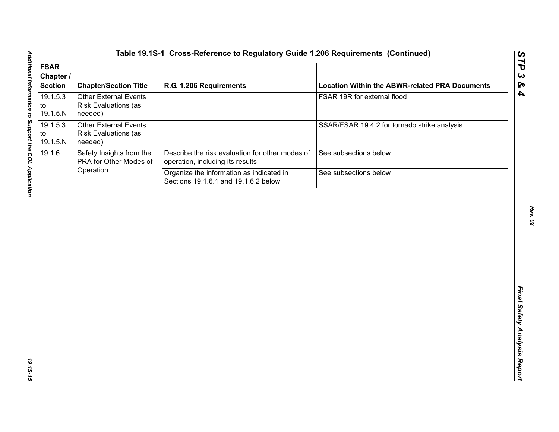| <b>FSAR</b><br>Chapter /<br><b>Section</b> | <b>Chapter/Section Title</b>                                           | R.G. 1.206 Requirements                                                             | <b>Location Within the ABWR-related PRA Documents</b> |
|--------------------------------------------|------------------------------------------------------------------------|-------------------------------------------------------------------------------------|-------------------------------------------------------|
| 19.1.5.3<br>to<br>19.1.5.N                 | <b>Other External Events</b><br><b>Risk Evaluations (as</b><br>needed) |                                                                                     | FSAR 19R for external flood                           |
| 19.1.5.3<br>to<br>19.1.5.N                 | <b>Other External Events</b><br><b>Risk Evaluations (as</b><br>needed) |                                                                                     | SSAR/FSAR 19.4.2 for tornado strike analysis          |
| 19.1.6                                     | Safety Insights from the<br>PRA for Other Modes of                     | Describe the risk evaluation for other modes of<br>operation, including its results | See subsections below                                 |
|                                            | Operation                                                              | Organize the information as indicated in<br>Sections 19.1.6.1 and 19.1.6.2 below    | See subsections below                                 |
|                                            |                                                                        |                                                                                     |                                                       |
|                                            |                                                                        |                                                                                     |                                                       |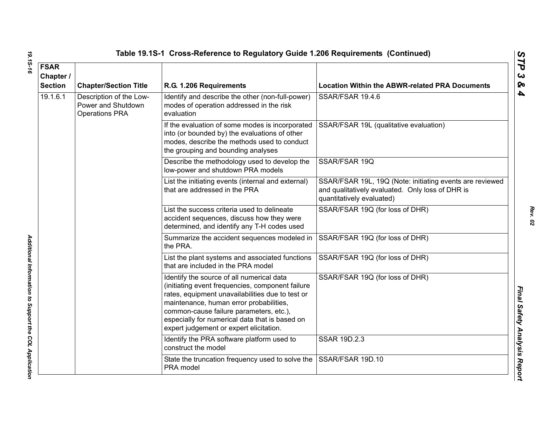| <b>FSAR</b><br>Chapter /<br><b>Section</b> | <b>Chapter/Section Title</b>                                           | R.G. 1.206 Requirements                                                                                                                                                                                                                                                                                                              | <b>Location Within the ABWR-related PRA Documents</b>                                                                                     |
|--------------------------------------------|------------------------------------------------------------------------|--------------------------------------------------------------------------------------------------------------------------------------------------------------------------------------------------------------------------------------------------------------------------------------------------------------------------------------|-------------------------------------------------------------------------------------------------------------------------------------------|
| 19.1.6.1                                   | Description of the Low-<br>Power and Shutdown<br><b>Operations PRA</b> | Identify and describe the other (non-full-power)<br>modes of operation addressed in the risk<br>evaluation                                                                                                                                                                                                                           | SSAR/FSAR 19.4.6                                                                                                                          |
|                                            |                                                                        | If the evaluation of some modes is incorporated<br>into (or bounded by) the evaluations of other<br>modes, describe the methods used to conduct<br>the grouping and bounding analyses                                                                                                                                                | SSAR/FSAR 19L (qualitative evaluation)                                                                                                    |
|                                            |                                                                        | Describe the methodology used to develop the<br>low-power and shutdown PRA models                                                                                                                                                                                                                                                    | SSAR/FSAR 19Q                                                                                                                             |
|                                            |                                                                        | List the initiating events (internal and external)<br>that are addressed in the PRA                                                                                                                                                                                                                                                  | SSAR/FSAR 19L, 19Q (Note: initiating events are reviewed<br>and qualitatively evaluated. Only loss of DHR is<br>quantitatively evaluated) |
|                                            |                                                                        | List the success criteria used to delineate<br>accident sequences, discuss how they were<br>determined, and identify any T-H codes used                                                                                                                                                                                              | SSAR/FSAR 19Q (for loss of DHR)                                                                                                           |
|                                            |                                                                        | Summarize the accident sequences modeled in<br>the PRA.                                                                                                                                                                                                                                                                              | SSAR/FSAR 19Q (for loss of DHR)                                                                                                           |
|                                            |                                                                        | List the plant systems and associated functions<br>that are included in the PRA model                                                                                                                                                                                                                                                | SSAR/FSAR 19Q (for loss of DHR)                                                                                                           |
|                                            |                                                                        | Identify the source of all numerical data<br>(initiating event frequencies, component failure<br>rates, equipment unavailabilities due to test or<br>maintenance, human error probabilities,<br>common-cause failure parameters, etc.),<br>especially for numerical data that is based on<br>expert judgement or expert elicitation. | SSAR/FSAR 19Q (for loss of DHR)                                                                                                           |
|                                            |                                                                        | Identify the PRA software platform used to<br>construct the model                                                                                                                                                                                                                                                                    | <b>SSAR 19D.2.3</b>                                                                                                                       |
|                                            |                                                                        | State the truncation frequency used to solve the<br>PRA model                                                                                                                                                                                                                                                                        | SSAR/FSAR 19D.10                                                                                                                          |

19.15-16 *19.1S-16 Additional Information to Support the COL Application* 

Additional Information to Support the COL Application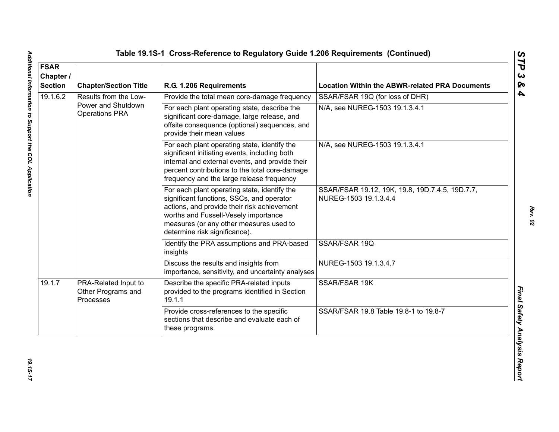| <b>FSAR</b><br>Chapter /<br><b>Section</b> | <b>Chapter/Section Title</b>                            | R.G. 1.206 Requirements                                                                                                                                                                                                                                      | <b>Location Within the ABWR-related PRA Documents</b>                    |
|--------------------------------------------|---------------------------------------------------------|--------------------------------------------------------------------------------------------------------------------------------------------------------------------------------------------------------------------------------------------------------------|--------------------------------------------------------------------------|
| 19.1.6.2                                   | Results from the Low-                                   | Provide the total mean core-damage frequency                                                                                                                                                                                                                 | SSAR/FSAR 19Q (for loss of DHR)                                          |
|                                            | Power and Shutdown<br><b>Operations PRA</b>             | For each plant operating state, describe the<br>significant core-damage, large release, and<br>offsite consequence (optional) sequences, and<br>provide their mean values                                                                                    | N/A, see NUREG-1503 19.1.3.4.1                                           |
|                                            |                                                         | For each plant operating state, identify the<br>significant initiating events, including both<br>internal and external events, and provide their<br>percent contributions to the total core-damage<br>frequency and the large release frequency              | N/A, see NUREG-1503 19.1.3.4.1                                           |
|                                            |                                                         | For each plant operating state, identify the<br>significant functions, SSCs, and operator<br>actions, and provide their risk achievement<br>worths and Fussell-Vesely importance<br>measures (or any other measures used to<br>determine risk significance). | SSAR/FSAR 19.12, 19K, 19.8, 19D.7.4.5, 19D.7.7,<br>NUREG-1503 19.1.3.4.4 |
|                                            |                                                         | Identify the PRA assumptions and PRA-based<br>insights                                                                                                                                                                                                       | SSAR/FSAR 19Q                                                            |
|                                            |                                                         | Discuss the results and insights from<br>importance, sensitivity, and uncertainty analyses                                                                                                                                                                   | NUREG-1503 19.1.3.4.7                                                    |
| 19.1.7                                     | PRA-Related Input to<br>Other Programs and<br>Processes | Describe the specific PRA-related inputs<br>provided to the programs identified in Section<br>19.1.1                                                                                                                                                         | SSAR/FSAR 19K                                                            |
|                                            |                                                         | Provide cross-references to the specific<br>sections that describe and evaluate each of<br>these programs.                                                                                                                                                   | SSAR/FSAR 19.8 Table 19.8-1 to 19.8-7                                    |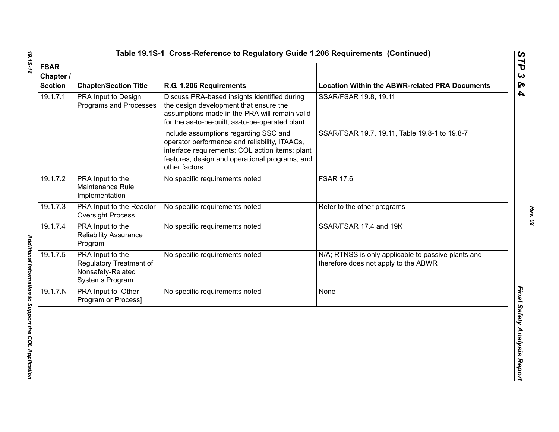| <b>FSAR</b><br>Chapter /<br><b>Section</b> | <b>Chapter/Section Title</b>                                                        | R.G. 1.206 Requirements                                                                                                                                                                                       | <b>Location Within the ABWR-related PRA Documents</b>                                       |
|--------------------------------------------|-------------------------------------------------------------------------------------|---------------------------------------------------------------------------------------------------------------------------------------------------------------------------------------------------------------|---------------------------------------------------------------------------------------------|
| 19.1.7.1                                   | PRA Input to Design<br>Programs and Processes                                       | Discuss PRA-based insights identified during<br>the design development that ensure the<br>assumptions made in the PRA will remain valid<br>for the as-to-be-built, as-to-be-operated plant                    | SSAR/FSAR 19.8, 19.11                                                                       |
|                                            |                                                                                     | Include assumptions regarding SSC and<br>operator performance and reliability, ITAACs,<br>interface requirements; COL action items; plant<br>features, design and operational programs, and<br>other factors. | SSAR/FSAR 19.7, 19.11, Table 19.8-1 to 19.8-7                                               |
| 19.1.7.2                                   | PRA Input to the<br>Maintenance Rule<br>Implementation                              | No specific requirements noted                                                                                                                                                                                | <b>FSAR 17.6</b>                                                                            |
| 19.1.7.3                                   | PRA Input to the Reactor<br><b>Oversight Process</b>                                | No specific requirements noted                                                                                                                                                                                | Refer to the other programs                                                                 |
| 19.1.7.4                                   | PRA Input to the<br><b>Reliability Assurance</b><br>Program                         | No specific requirements noted                                                                                                                                                                                | SSAR/FSAR 17.4 and 19K                                                                      |
| 19.1.7.5                                   | PRA Input to the<br>Regulatory Treatment of<br>Nonsafety-Related<br>Systems Program | No specific requirements noted                                                                                                                                                                                | N/A; RTNSS is only applicable to passive plants and<br>therefore does not apply to the ABWR |
| 19.1.7.N                                   | PRA Input to [Other<br>Program or Process]                                          | No specific requirements noted                                                                                                                                                                                | None                                                                                        |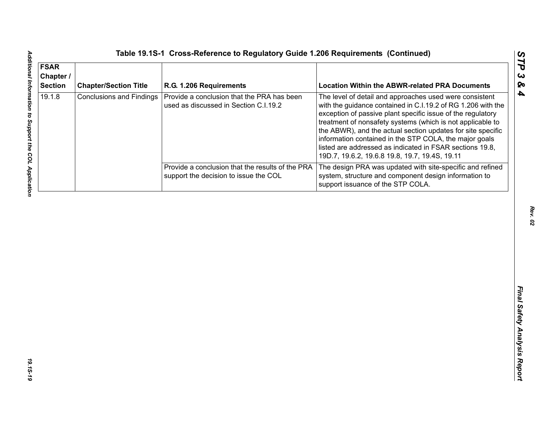| <b>FSAR</b><br>Chapter /<br><b>Section</b> | <b>Chapter/Section Title</b>    | R.G. 1.206 Requirements                                                                   | <b>Location Within the ABWR-related PRA Documents</b>                                                                                                                                                                                                                                                                                                                                                                                                                                       |
|--------------------------------------------|---------------------------------|-------------------------------------------------------------------------------------------|---------------------------------------------------------------------------------------------------------------------------------------------------------------------------------------------------------------------------------------------------------------------------------------------------------------------------------------------------------------------------------------------------------------------------------------------------------------------------------------------|
| 19.1.8                                     | <b>Conclusions and Findings</b> | Provide a conclusion that the PRA has been<br>used as discussed in Section C.I.19.2       | The level of detail and approaches used were consistent<br>with the guidance contained in C.I.19.2 of RG 1.206 with the<br>exception of passive plant specific issue of the regulatory<br>treatment of nonsafety systems (which is not applicable to<br>the ABWR), and the actual section updates for site specific<br>information contained in the STP COLA, the major goals<br>listed are addressed as indicated in FSAR sections 19.8,<br>19D.7, 19.6.2, 19.6.8 19.8, 19.7, 19.4S, 19.11 |
|                                            |                                 | Provide a conclusion that the results of the PRA<br>support the decision to issue the COL | The design PRA was updated with site-specific and refined<br>system, structure and component design information to<br>support issuance of the STP COLA.                                                                                                                                                                                                                                                                                                                                     |
|                                            |                                 |                                                                                           |                                                                                                                                                                                                                                                                                                                                                                                                                                                                                             |
|                                            |                                 |                                                                                           |                                                                                                                                                                                                                                                                                                                                                                                                                                                                                             |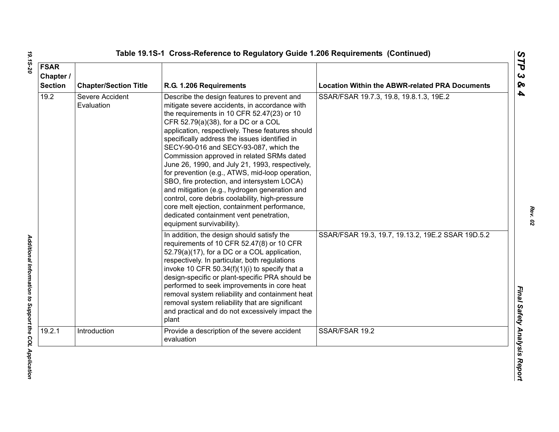| <b>FSAR</b><br>Chapter /<br><b>Section</b> | <b>Chapter/Section Title</b>  | R.G. 1.206 Requirements                                                                                                                                                                                                                                                                                                                                                                                                                                                                                                                                                                                                                                                                                                                                        | <b>Location Within the ABWR-related PRA Documents</b> |
|--------------------------------------------|-------------------------------|----------------------------------------------------------------------------------------------------------------------------------------------------------------------------------------------------------------------------------------------------------------------------------------------------------------------------------------------------------------------------------------------------------------------------------------------------------------------------------------------------------------------------------------------------------------------------------------------------------------------------------------------------------------------------------------------------------------------------------------------------------------|-------------------------------------------------------|
| 19.2                                       | Severe Accident<br>Evaluation | Describe the design features to prevent and<br>mitigate severe accidents, in accordance with<br>the requirements in 10 CFR 52.47(23) or 10<br>CFR 52.79(a)(38), for a DC or a COL<br>application, respectively. These features should<br>specifically address the issues identified in<br>SECY-90-016 and SECY-93-087, which the<br>Commission approved in related SRMs dated<br>June 26, 1990, and July 21, 1993, respectively,<br>for prevention (e.g., ATWS, mid-loop operation,<br>SBO, fire protection, and intersystem LOCA)<br>and mitigation (e.g., hydrogen generation and<br>control, core debris coolability, high-pressure<br>core melt ejection, containment performance,<br>dedicated containment vent penetration,<br>equipment survivability). | SSAR/FSAR 19.7.3, 19.8, 19.8.1.3, 19E.2               |
|                                            |                               | In addition, the design should satisfy the<br>requirements of 10 CFR 52.47(8) or 10 CFR<br>52.79(a)(17), for a DC or a COL application,<br>respectively. In particular, both regulations<br>invoke 10 CFR 50.34(f)(1)(i) to specify that a<br>design-specific or plant-specific PRA should be<br>performed to seek improvements in core heat<br>removal system reliability and containment heat<br>removal system reliability that are significant<br>and practical and do not excessively impact the<br>plant                                                                                                                                                                                                                                                 | SSAR/FSAR 19.3, 19.7, 19.13.2, 19E.2 SSAR 19D.5.2     |
| 19.2.1                                     | Introduction                  | Provide a description of the severe accident<br>evaluation                                                                                                                                                                                                                                                                                                                                                                                                                                                                                                                                                                                                                                                                                                     | SSAR/FSAR 19.2                                        |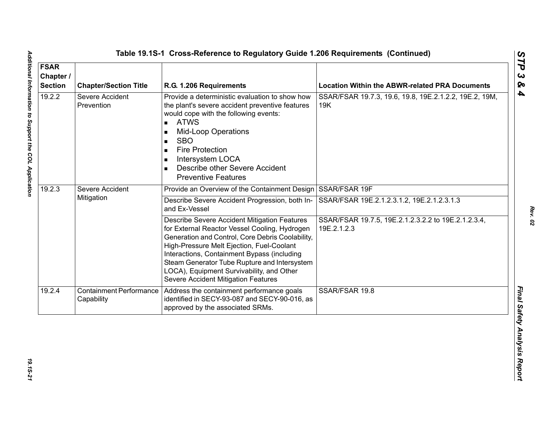| <b>FSAR</b><br>Chapter /<br><b>Section</b> | <b>Chapter/Section Title</b>                 | R.G. 1.206 Requirements                                                                                                                                                                                                                                                                                                                                                           | <b>Location Within the ABWR-related PRA Documents</b>              |
|--------------------------------------------|----------------------------------------------|-----------------------------------------------------------------------------------------------------------------------------------------------------------------------------------------------------------------------------------------------------------------------------------------------------------------------------------------------------------------------------------|--------------------------------------------------------------------|
| 19.2.2                                     | Severe Accident<br>Prevention                | Provide a deterministic evaluation to show how<br>the plant's severe accident preventive features<br>would cope with the following events:<br><b>ATWS</b><br>$\blacksquare$<br><b>Mid-Loop Operations</b><br><b>SBO</b><br><b>Fire Protection</b><br>Intersystem LOCA<br>Describe other Severe Accident<br><b>Preventive Features</b>                                             | SSAR/FSAR 19.7.3, 19.6, 19.8, 19E.2.1.2.2, 19E.2, 19M,<br>19K      |
| 19.2.3                                     | Severe Accident<br>Mitigation                | Provide an Overview of the Containment Design SSAR/FSAR 19F                                                                                                                                                                                                                                                                                                                       |                                                                    |
|                                            |                                              | Describe Severe Accident Progression, both In-<br>and Ex-Vessel                                                                                                                                                                                                                                                                                                                   | SSAR/FSAR 19E.2.1.2.3.1.2, 19E.2.1.2.3.1.3                         |
|                                            |                                              | Describe Severe Accident Mitigation Features<br>for External Reactor Vessel Cooling, Hydrogen<br>Generation and Control, Core Debris Coolability,<br>High-Pressure Melt Ejection, Fuel-Coolant<br>Interactions, Containment Bypass (including<br>Steam Generator Tube Rupture and Intersystem<br>LOCA), Equipment Survivability, and Other<br>Severe Accident Mitigation Features | SSAR/FSAR 19.7.5, 19E.2.1.2.3.2.2 to 19E.2.1.2.3.4,<br>19E.2.1.2.3 |
| 19.2.4                                     | <b>Containment Performance</b><br>Capability | Address the containment performance goals<br>identified in SECY-93-087 and SECY-90-016, as<br>approved by the associated SRMs.                                                                                                                                                                                                                                                    | SSAR/FSAR 19.8                                                     |

*Rev. 02*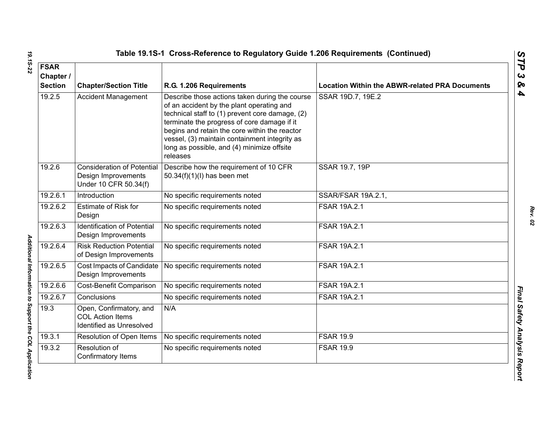| <b>FSAR</b><br>Chapter /<br><b>Section</b> | <b>Chapter/Section Title</b>                                                      | R.G. 1.206 Requirements                                                                                                                                                                                                                                                                                                                                   | <b>Location Within the ABWR-related PRA Documents</b> |
|--------------------------------------------|-----------------------------------------------------------------------------------|-----------------------------------------------------------------------------------------------------------------------------------------------------------------------------------------------------------------------------------------------------------------------------------------------------------------------------------------------------------|-------------------------------------------------------|
| 19.2.5                                     | <b>Accident Management</b>                                                        | Describe those actions taken during the course<br>of an accident by the plant operating and<br>technical staff to (1) prevent core damage, (2)<br>terminate the progress of core damage if it<br>begins and retain the core within the reactor<br>vessel, (3) maintain containment integrity as<br>long as possible, and (4) minimize offsite<br>releases | SSAR 19D.7, 19E.2                                     |
| 19.2.6                                     | <b>Consideration of Potential</b><br>Design Improvements<br>Under 10 CFR 50.34(f) | Describe how the requirement of 10 CFR<br>50.34(f)(1)(l) has been met                                                                                                                                                                                                                                                                                     | SSAR 19.7, 19P                                        |
| 19.2.6.1                                   | Introduction                                                                      | No specific requirements noted                                                                                                                                                                                                                                                                                                                            | SSAR/FSAR 19A.2.1,                                    |
| 19.2.6.2                                   | <b>Estimate of Risk for</b><br>Design                                             | No specific requirements noted                                                                                                                                                                                                                                                                                                                            | FSAR 19A.2.1                                          |
| 19.2.6.3                                   | <b>Identification of Potential</b><br>Design Improvements                         | No specific requirements noted                                                                                                                                                                                                                                                                                                                            | FSAR 19A.2.1                                          |
| 19.2.6.4                                   | <b>Risk Reduction Potential</b><br>of Design Improvements                         | No specific requirements noted                                                                                                                                                                                                                                                                                                                            | <b>FSAR 19A.2.1</b>                                   |
| 19.2.6.5                                   | Cost Impacts of Candidate<br>Design Improvements                                  | No specific requirements noted                                                                                                                                                                                                                                                                                                                            | FSAR 19A.2.1                                          |
| 19.2.6.6                                   | Cost-Benefit Comparison                                                           | No specific requirements noted                                                                                                                                                                                                                                                                                                                            | <b>FSAR 19A.2.1</b>                                   |
| 19.2.6.7                                   | Conclusions                                                                       | No specific requirements noted                                                                                                                                                                                                                                                                                                                            | <b>FSAR 19A.2.1</b>                                   |
| 19.3                                       | Open, Confirmatory, and<br><b>COL Action Items</b><br>Identified as Unresolved    | N/A                                                                                                                                                                                                                                                                                                                                                       |                                                       |
| 19.3.1                                     | Resolution of Open Items                                                          | No specific requirements noted                                                                                                                                                                                                                                                                                                                            | <b>FSAR 19.9</b>                                      |
| 19.3.2                                     | Resolution of<br>Confirmatory Items                                               | No specific requirements noted                                                                                                                                                                                                                                                                                                                            | <b>FSAR 19.9</b>                                      |

Additional Information to Support the COL Application